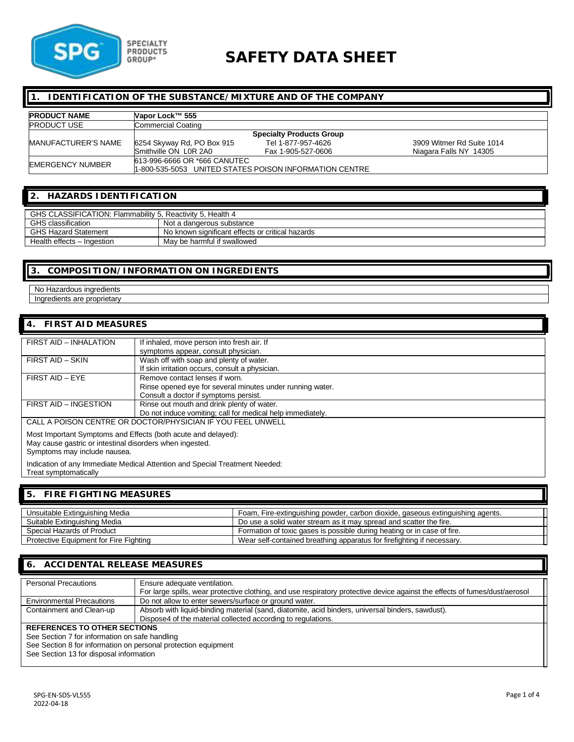

# **SAFETY DATA SHEET**

#### **1. IDENTIFICATION OF THE SUBSTANCE/MIXTURE AND OF THE COMPANY**

| <b>PRODUCT NAME</b>     | Napor Lock™ 555              |                                                         |                           |
|-------------------------|------------------------------|---------------------------------------------------------|---------------------------|
| <b>PRODUCT USE</b>      | <b>Commercial Coating</b>    |                                                         |                           |
|                         |                              | <b>Specialty Products Group</b>                         |                           |
| MANUFACTURER'S NAME     | 6254 Skyway Rd, PO Box 915   | Tel 1-877-957-4626                                      | 3909 Witmer Rd Suite 1014 |
|                         | Smithville ON L0R 2A0        | Fax 1-905-527-0606                                      | Niagara Falls NY 14305    |
| <b>EMERGENCY NUMBER</b> | 613-996-6666 OR *666 CANUTEC |                                                         |                           |
|                         |                              | 11-800-535-5053 UNITED STATES POISON INFORMATION CENTRE |                           |

### **2. HAZARDS IDENTIFICATION**

| GHS CLASSIFICATION: Flammability 5, Reactivity 5, Health 4 |                                                  |  |
|------------------------------------------------------------|--------------------------------------------------|--|
| <b>GHS</b> classification                                  | Not a dangerous substance                        |  |
| <b>GHS Hazard Statement</b>                                | No known significant effects or critical hazards |  |
| Health effects - Ingestion                                 | May be harmful if swallowed                      |  |

### **3. COMPOSITION/INFORMATION ON INGREDIENTS**

No Hazardous ingredients Ingredients are proprietary

## **4. FIRST AID MEASURES**

| FIRST AID - INHALATION                                                                                                                                    | If inhaled, move person into fresh air. If<br>symptoms appear, consult physician.                                                    |  |
|-----------------------------------------------------------------------------------------------------------------------------------------------------------|--------------------------------------------------------------------------------------------------------------------------------------|--|
| FIRST AID - SKIN                                                                                                                                          | Wash off with soap and plenty of water.<br>If skin irritation occurs, consult a physician.                                           |  |
| FIRST AID - EYE                                                                                                                                           | Remove contact lenses if worn.<br>Rinse opened eye for several minutes under running water.<br>Consult a doctor if symptoms persist. |  |
| FIRST AID - INGESTION                                                                                                                                     | Rinse out mouth and drink plenty of water.<br>Do not induce vomiting; call for medical help immediately.                             |  |
|                                                                                                                                                           | CALL A POISON CENTRE OR DOCTOR/PHYSICIAN IF YOU FEEL UNWELL                                                                          |  |
| Most Important Symptoms and Effects (both acute and delayed):<br>May cause gastric or intestinal disorders when ingested.<br>Symptoms may include nausea. |                                                                                                                                      |  |
| Indication of any Immediate Medical Attention and Special Treatment Needed:                                                                               |                                                                                                                                      |  |

Treat symptomatically

### **5. FIRE FIGHTING MEASURES**

| Unsuitable Extinguishing Media         | Foam, Fire-extinguishing powder, carbon dioxide, gaseous extinguishing agents. |
|----------------------------------------|--------------------------------------------------------------------------------|
| Suitable Extinguishing Media           | Do use a solid water stream as it may spread and scatter the fire.             |
| Special Hazards of Product             | Formation of toxic gases is possible during heating or in case of fire.        |
| Protective Equipment for Fire Fighting | Wear self-contained breathing apparatus for firefighting if necessary.         |

### **6. ACCIDENTAL RELEASE MEASURES**

| <b>Personal Precautions</b>                                    | Ensure adequate ventilation.<br>For large spills, wear protective clothing, and use respiratory protective device against the effects of fumes/dust/aerosol |  |
|----------------------------------------------------------------|-------------------------------------------------------------------------------------------------------------------------------------------------------------|--|
|                                                                |                                                                                                                                                             |  |
| <b>Environmental Precautions</b>                               | Do not allow to enter sewers/surface or ground water.                                                                                                       |  |
| Containment and Clean-up                                       | Absorb with liquid-binding material (sand, diatomite, acid binders, universal binders, sawdust).                                                            |  |
|                                                                | Dispose4 of the material collected according to regulations.                                                                                                |  |
| REFERENCES TO OTHER SECTIONS                                   |                                                                                                                                                             |  |
| See Section 7 for information on safe handling                 |                                                                                                                                                             |  |
| See Section 8 for information on personal protection equipment |                                                                                                                                                             |  |

See Section 13 for disposal information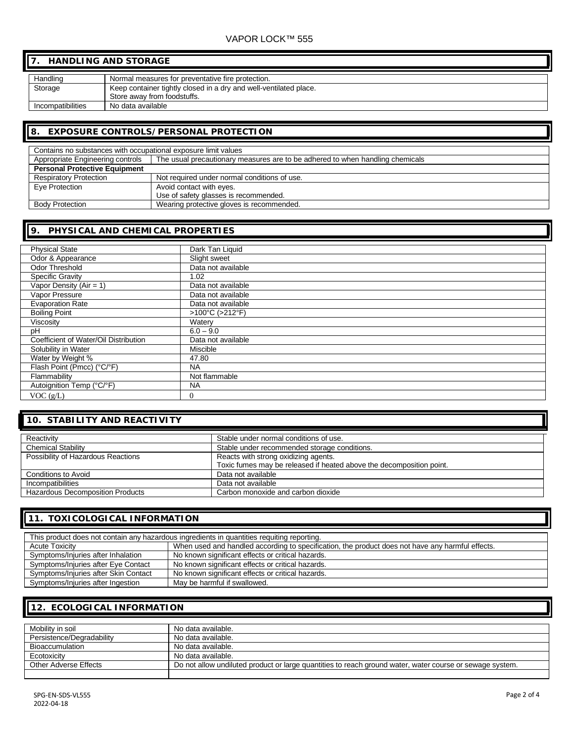### VAPOR LOCK™ 555

## **7. HANDLING AND STORAGE**

| Handling          | Normal measures for preventative fire protection.                 |
|-------------------|-------------------------------------------------------------------|
| Storage           | Keep container tightly closed in a dry and well-ventilated place. |
|                   | Store away from foodstuffs.                                       |
| Incompatibilities | No data available                                                 |

#### **8. EXPOSURE CONTROLS/PERSONAL PROTECTION**

| Contains no substances with occupational exposure limit values |                                                                               |  |
|----------------------------------------------------------------|-------------------------------------------------------------------------------|--|
| Appropriate Engineering controls                               | The usual precautionary measures are to be adhered to when handling chemicals |  |
| <b>Personal Protective Equipment</b>                           |                                                                               |  |
| <b>Respiratory Protection</b>                                  | Not required under normal conditions of use.                                  |  |
| Eye Protection                                                 | Avoid contact with eyes.                                                      |  |
|                                                                | Use of safety glasses is recommended.                                         |  |
| <b>Body Protection</b>                                         | Wearing protective gloves is recommended.                                     |  |

### **9. PHYSICAL AND CHEMICAL PROPERTIES**

| <b>Physical State</b>                 | Dark Tan Liquid    |
|---------------------------------------|--------------------|
| Odor & Appearance                     | Slight sweet       |
| <b>Odor Threshold</b>                 | Data not available |
| Specific Gravity                      | 1.02               |
| Vapor Density ( $Air = 1$ )           | Data not available |
| Vapor Pressure                        | Data not available |
| <b>Evaporation Rate</b>               | Data not available |
| <b>Boiling Point</b>                  | >100°C (>212°F)    |
| Viscosity                             | Watery             |
| рH                                    | $6.0 - 9.0$        |
| Coefficient of Water/Oil Distribution | Data not available |
| Solubility in Water                   | Miscible           |
| Water by Weight %                     | 47.80              |
| Flash Point (Pmcc) (°C/°F)            | <b>NA</b>          |
| Flammability                          | Not flammable      |
| Autoignition Temp (°C/°F)             | <b>NA</b>          |
| VOC $(g/L)$                           | $\Omega$           |

# **10. STABILITY AND REACTIVITY**

| Reactivity                              | Stable under normal conditions of use.                               |
|-----------------------------------------|----------------------------------------------------------------------|
| <b>Chemical Stability</b>               | Stable under recommended storage conditions.                         |
| Possibility of Hazardous Reactions      | Reacts with strong oxidizing agents.                                 |
|                                         | Toxic fumes may be released if heated above the decomposition point. |
| Conditions to Avoid                     | Data not available                                                   |
| Incompatibilities                       | Data not available                                                   |
| <b>Hazardous Decomposition Products</b> | Carbon monoxide and carbon dioxide                                   |

### **11. TOXICOLOGICAL INFORMATION**

| This product does not contain any hazardous ingredients in quantities requiting reporting. |                                                                                                  |  |
|--------------------------------------------------------------------------------------------|--------------------------------------------------------------------------------------------------|--|
| <b>Acute Toxicity</b>                                                                      | When used and handled according to specification, the product does not have any harmful effects. |  |
| Symptoms/Injuries after Inhalation                                                         | No known significant effects or critical hazards.                                                |  |
| Symptoms/Injuries after Eye Contact                                                        | No known significant effects or critical hazards.                                                |  |
| Symptoms/Injuries after Skin Contact                                                       | No known significant effects or critical hazards.                                                |  |
| Symptoms/Injuries after Ingestion                                                          | May be harmful if swallowed.                                                                     |  |

### **12. ECOLOGICAL INFORMATION**

| Mobility in soil          | No data available.                                                                                       |
|---------------------------|----------------------------------------------------------------------------------------------------------|
| Persistence/Degradability | No data available.                                                                                       |
| <b>Bioaccumulation</b>    | No data available.                                                                                       |
| Ecotoxicity               | No data available.                                                                                       |
| Other Adverse Effects     | Do not allow undiluted product or large quantities to reach ground water, water course or sewage system. |
|                           |                                                                                                          |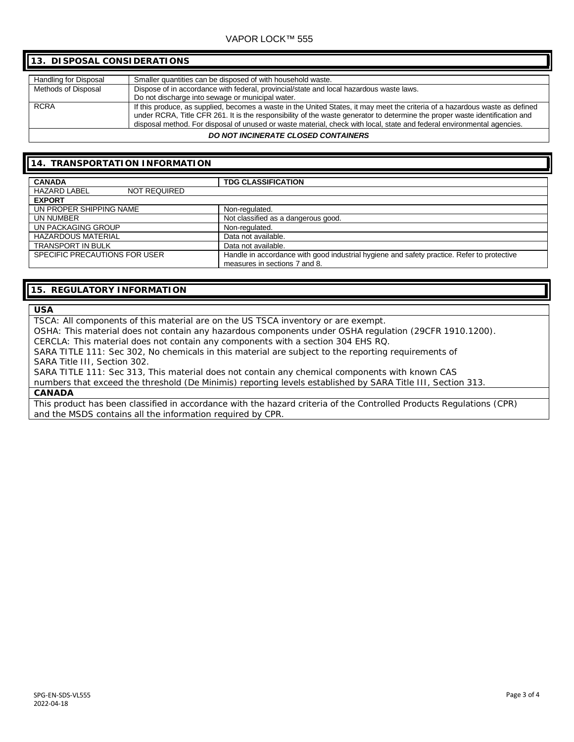### VAPOR LOCK™ 555

### Handling for Disposal | Smaller quantities can be disposed of with household waste. Methods of Disposal Dispose of in accordance with federal, provincial/state and local hazardous waste laws. Do not discharge into sewage or municipal water. RCRA **If this produce, as supplied, becomes a waste in the United States, it may meet the criteria of a hazardous waste as defined** under RCRA, Title CFR 261. It is the responsibility of the waste generator to determine the proper waste identification and disposal method. For disposal of unused or waste material, check with local, state and federal environmental agencies. **13. DISPOSAL CONSIDERATIONS**

#### *DO NOT INCINERATE CLOSED CONTAINERS*

### **14. TRANSPORTATION INFORMATION**

| <b>CANADA</b>                              | <b>TDG CLASSIFICATION</b>                                                                  |
|--------------------------------------------|--------------------------------------------------------------------------------------------|
| <b>HAZARD LABEL</b><br><b>NOT REQUIRED</b> |                                                                                            |
| <b>EXPORT</b>                              |                                                                                            |
| UN PROPER SHIPPING NAME                    | Non-regulated.                                                                             |
| UN NUMBER                                  | Not classified as a dangerous good.                                                        |
| UN PACKAGING GROUP                         | Non-regulated.                                                                             |
| <b>HAZARDOUS MATERIAL</b>                  | Data not available.                                                                        |
| <b>TRANSPORT IN BULK</b>                   | Data not available.                                                                        |
| SPECIFIC PRECAUTIONS FOR USER              | Handle in accordance with good industrial hygiene and safety practice. Refer to protective |
|                                            | measures in sections 7 and 8.                                                              |

### **15. REGULATORY INFORMATION**

#### **USA**

TSCA: All components of this material are on the US TSCA inventory or are exempt.

OSHA: This material does not contain any hazardous components under OSHA regulation (29CFR 1910.1200).

CERCLA: This material does not contain any components with a section 304 EHS RQ.

SARA TITLE 111: Sec 302, No chemicals in this material are subject to the reporting requirements of SARA Title III, Section 302.

SARA TITLE 111: Sec 313, This material does not contain any chemical components with known CAS

numbers that exceed the threshold (De Minimis) reporting levels established by SARA Title III, Section 313. **CANADA**

This product has been classified in accordance with the hazard criteria of the Controlled Products Regulations (CPR) and the MSDS contains all the information required by CPR.